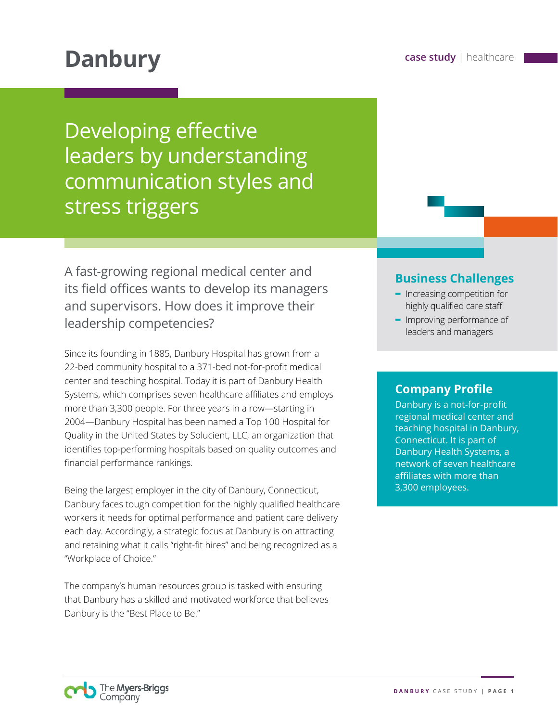# **Danbury case study** | healthcare

Developing effective leaders by understanding communication styles and stress triggers

A fast-growing regional medical center and its field offices wants to develop its managers and supervisors. How does it improve their leadership competencies?

Since its founding in 1885, Danbury Hospital has grown from a 22-bed community hospital to a 371-bed not-for-profit medical center and teaching hospital. Today it is part of Danbury Health Systems, which comprises seven healthcare affiliates and employs more than 3,300 people. For three years in a row—starting in 2004—Danbury Hospital has been named a Top 100 Hospital for Quality in the United States by Solucient, LLC, an organization that identifies top-performing hospitals based on quality outcomes and financial performance rankings.

Being the largest employer in the city of Danbury, Connecticut, Danbury faces tough competition for the highly qualified healthcare workers it needs for optimal performance and patient care delivery each day. Accordingly, a strategic focus at Danbury is on attracting and retaining what it calls "right-fit hires" and being recognized as a "Workplace of Choice."

The company's human resources group is tasked with ensuring that Danbury has a skilled and motivated workforce that believes Danbury is the "Best Place to Be."

## **Business Challenges**

- **-** Increasing competition for highly qualified care staff
- **-** Improving performance of leaders and managers

### **Company Profile**

Danbury is a not-for-profit regional medical center and teaching hospital in Danbury, Connecticut. It is part of Danbury Health Systems, a network of seven healthcare affiliates with more than 3,300 employees.

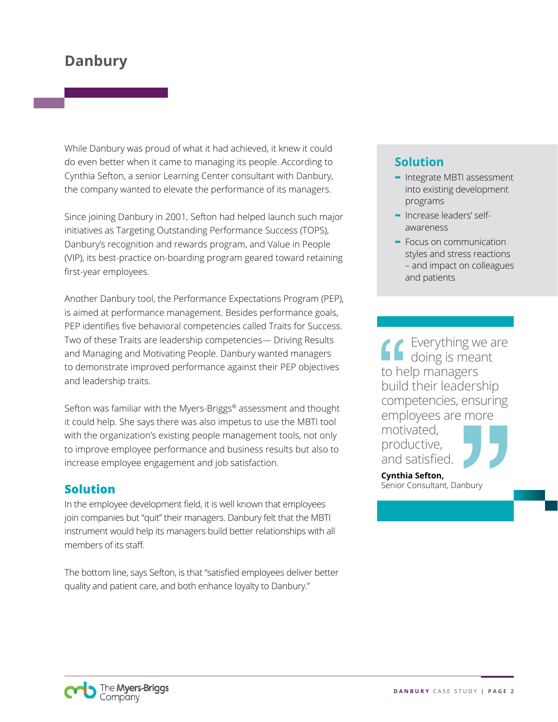While Danbury was proud of what it had achieved, it knew it could do even better when it came to managing its people. According to Cynthia Sefton, a senior Learning Center consultant with Danbury, the company wanted to elevate the performance of its managers.

Since joining Danbury in 2001, Sefton had helped launch such major initiatives as Targeting Outstanding Performance Success (TOPS), Danbury's recognition and rewards program, and Value in People (VIP), its best-practice on-boarding program geared toward retaining first-year employees.

Another Danbury tool, the Performance Expectations Program (PEP), is aimed at performance management. Besides performance goals, PEP identifies five behavioral competencies called Traits for Success. Two of these Traits are leadership competencies— Driving Results and Managing and Motivating People. Danbury wanted managers to demonstrate improved performance against their PEP objectives and leadership traits.

Sefton was familiar with the Myers-Briggs® assessment and thought it could help. She says there was also impetus to use the MBTI tool with the organization's existing people management tools, not only to improve employee performance and business results but also to increase employee engagement and job satisfaction.

#### **Solution**

In the employee development field, it is well known that employees join companies but "quit" their managers. Danbury felt that the MBTI instrument would help its managers build better relationships with all members of its staff.

The bottom line, says Sefton, is that "satisfied employees deliver better quality and patient care, and both enhance loyalty to Danbury."

## **Solution**

- **-** Integrate MBTI assessment into existing development programs
- **-** Increase leaders' selfawareness
- **-** Focus on communication styles and stress reactions – and impact on colleagues and patients

**Everything we are** doing is meant to help managers build their leadership competencies, ensuring employees are more motivated, productive,

and satisfied. **Cynthia Sefton,**  Senior Consultant, Danbury

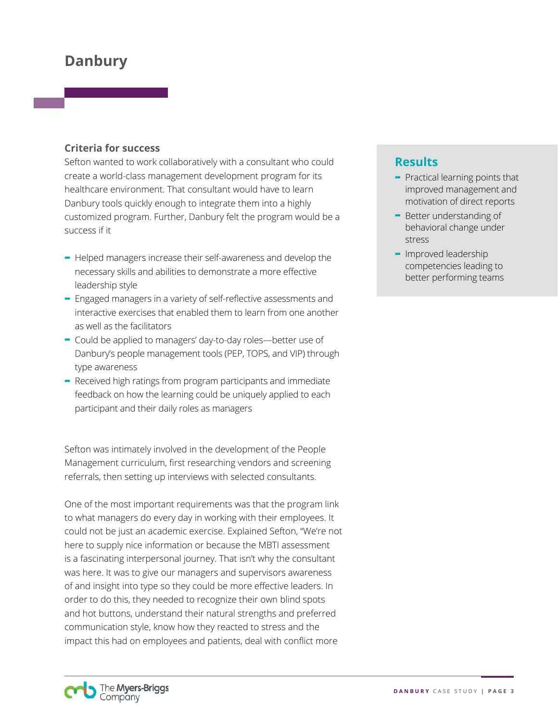#### **Criteria for success**

Sefton wanted to work collaboratively with a consultant who could create a world-class management development program for its healthcare environment. That consultant would have to learn Danbury tools quickly enough to integrate them into a highly customized program. Further, Danbury felt the program would be a success if it

- **-** Helped managers increase their self-awareness and develop the necessary skills and abilities to demonstrate a more effective leadership style
- **-** Engaged managers in a variety of self-reflective assessments and interactive exercises that enabled them to learn from one another as well as the facilitators
- **-** Could be applied to managers' day-to-day roles—better use of Danbury's people management tools (PEP, TOPS, and VIP) through type awareness
- **-** Received high ratings from program participants and immediate feedback on how the learning could be uniquely applied to each participant and their daily roles as managers

Sefton was intimately involved in the development of the People Management curriculum, first researching vendors and screening referrals, then setting up interviews with selected consultants.

One of the most important requirements was that the program link to what managers do every day in working with their employees. It could not be just an academic exercise. Explained Sefton, "We're not here to supply nice information or because the MBTI assessment is a fascinating interpersonal journey. That isn't why the consultant was here. It was to give our managers and supervisors awareness of and insight into type so they could be more effective leaders. In order to do this, they needed to recognize their own blind spots and hot buttons, understand their natural strengths and preferred communication style, know how they reacted to stress and the impact this had on employees and patients, deal with conflict more

#### **Results**

- **-** Practical learning points that improved management and motivation of direct reports
- **-** Better understanding of behavioral change under stress
- **-** Improved leadership competencies leading to better performing teams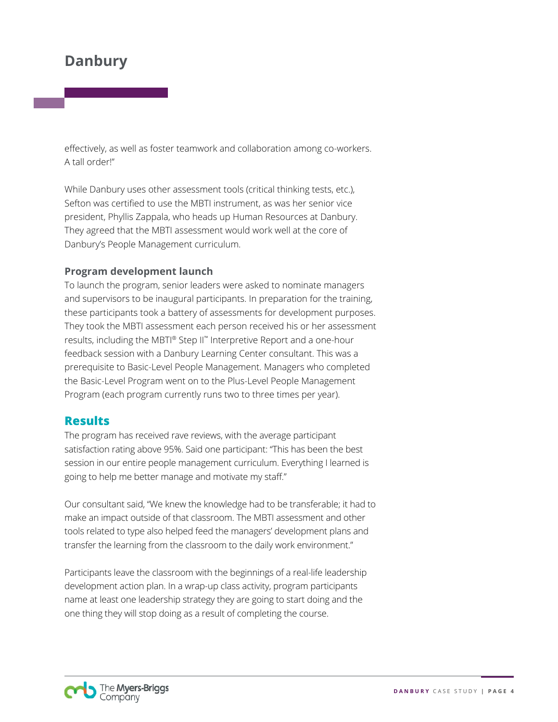effectively, as well as foster teamwork and collaboration among co-workers. A tall order!"

While Danbury uses other assessment tools (critical thinking tests, etc.), Sefton was certified to use the MBTI instrument, as was her senior vice president, Phyllis Zappala, who heads up Human Resources at Danbury. They agreed that the MBTI assessment would work well at the core of Danbury's People Management curriculum.

#### **Program development launch**

To launch the program, senior leaders were asked to nominate managers and supervisors to be inaugural participants. In preparation for the training, these participants took a battery of assessments for development purposes. They took the MBTI assessment each person received his or her assessment results, including the MBTI® Step II™ Interpretive Report and a one-hour feedback session with a Danbury Learning Center consultant. This was a prerequisite to Basic-Level People Management. Managers who completed the Basic-Level Program went on to the Plus-Level People Management Program (each program currently runs two to three times per year).

#### **Results**

The program has received rave reviews, with the average participant satisfaction rating above 95%. Said one participant: "This has been the best session in our entire people management curriculum. Everything I learned is going to help me better manage and motivate my staff."

Our consultant said, "We knew the knowledge had to be transferable; it had to make an impact outside of that classroom. The MBTI assessment and other tools related to type also helped feed the managers' development plans and transfer the learning from the classroom to the daily work environment."

Participants leave the classroom with the beginnings of a real-life leadership development action plan. In a wrap-up class activity, program participants name at least one leadership strategy they are going to start doing and the one thing they will stop doing as a result of completing the course.

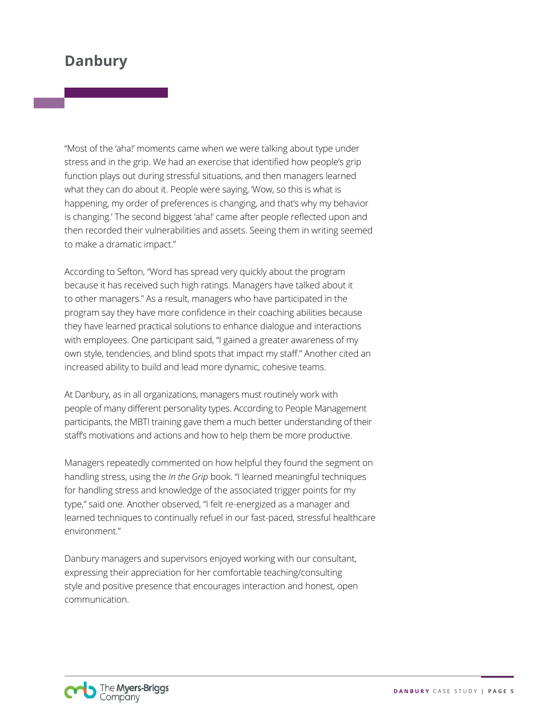"Most of the 'aha!' moments came when we were talking about type under stress and in the grip. We had an exercise that identified how people's grip function plays out during stressful situations, and then managers learned what they can do about it. People were saying, 'Wow, so this is what is happening, my order of preferences is changing, and that's why my behavior is changing.' The second biggest 'aha!' came after people reflected upon and then recorded their vulnerabilities and assets. Seeing them in writing seemed to make a dramatic impact."

According to Sefton, "Word has spread very quickly about the program because it has received such high ratings. Managers have talked about it to other managers." As a result, managers who have participated in the program say they have more confidence in their coaching abilities because they have learned practical solutions to enhance dialogue and interactions with employees. One participant said, "I gained a greater awareness of my own style, tendencies, and blind spots that impact my staff." Another cited an increased ability to build and lead more dynamic, cohesive teams.

At Danbury, as in all organizations, managers must routinely work with people of many different personality types. According to People Management participants, the MBTI training gave them a much better understanding of their staff's motivations and actions and how to help them be more productive.

Managers repeatedly commented on how helpful they found the segment on handling stress, using the *In the Grip* book. "I learned meaningful techniques for handling stress and knowledge of the associated trigger points for my type," said one. Another observed, "I felt re-energized as a manager and learned techniques to continually refuel in our fast-paced, stressful healthcare environment."

Danbury managers and supervisors enjoyed working with our consultant, expressing their appreciation for her comfortable teaching/consulting style and positive presence that encourages interaction and honest, open communication.

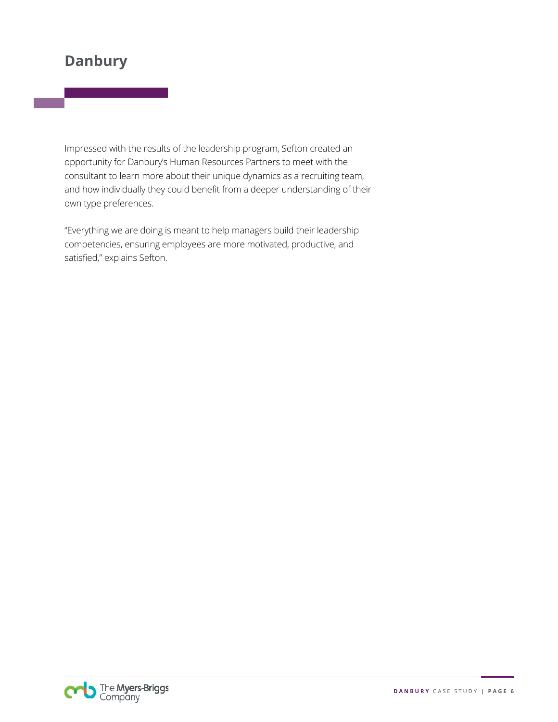Impressed with the results of the leadership program, Sefton created an opportunity for Danbury's Human Resources Partners to meet with the consultant to learn more about their unique dynamics as a recruiting team, and how individually they could benefit from a deeper understanding of their own type preferences.

"Everything we are doing is meant to help managers build their leadership competencies, ensuring employees are more motivated, productive, and satisfied," explains Sefton.